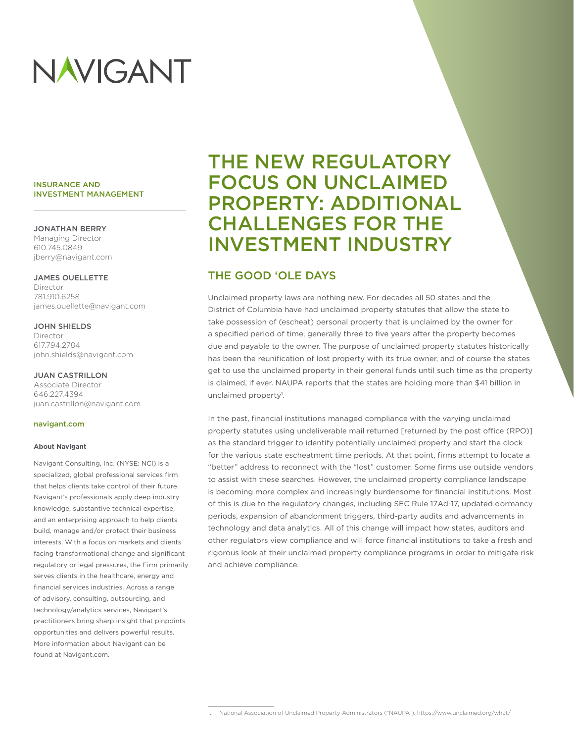# NAVIGANT

#### INSURANCE AND INVESTMENT MANAGEMENT

JONATHAN BERRY

Managing Director 610.745.0849 jberry@navigant.com

JAMES OUELLETTE Director 781.910.6258 james.ouellette@navigant.com

JOHN SHIELDS Director 617.794.2784 john.shields@navigant.com

JUAN CASTRILLON Associate Director 646.227.4394 juan.castrillon@navigant.com

#### navigant.com

#### **About Navigant**

Navigant Consulting, Inc. (NYSE: NCI) is a specialized, global professional services firm that helps clients take control of their future. Navigant's professionals apply deep industry knowledge, substantive technical expertise, and an enterprising approach to help clients build, manage and/or protect their business interests. With a focus on markets and clients facing transformational change and significant regulatory or legal pressures, the Firm primarily serves clients in the healthcare, energy and financial services industries. Across a range of advisory, consulting, outsourcing, and technology/analytics services, Navigant's practitioners bring sharp insight that pinpoints opportunities and delivers powerful results. More information about Navigant can be found at Navigant.com.

# THE NEW REGULATORY FOCUS ON UNCLAIMED PROPERTY: ADDITIONAL CHALLENGES FOR THE INVESTMENT INDUSTRY

## THE GOOD 'OLE DAYS

Unclaimed property laws are nothing new. For decades all 50 states and the District of Columbia have had unclaimed property statutes that allow the state to take possession of (escheat) personal property that is unclaimed by the owner for a specified period of time, generally three to five years after the property becomes due and payable to the owner. The purpose of unclaimed property statutes historically has been the reunification of lost property with its true owner, and of course the states get to use the unclaimed property in their general funds until such time as the property is claimed, if ever. NAUPA reports that the states are holding more than \$41 billion in unclaimed property<sup>1</sup>.

In the past, financial institutions managed compliance with the varying unclaimed property statutes using undeliverable mail returned [returned by the post office (RPO)] as the standard trigger to identify potentially unclaimed property and start the clock for the various state escheatment time periods. At that point, firms attempt to locate a "better" address to reconnect with the "lost" customer. Some firms use outside vendors to assist with these searches. However, the unclaimed property compliance landscape is becoming more complex and increasingly burdensome for financial institutions. Most of this is due to the regulatory changes, including SEC Rule 17Ad-17, updated dormancy periods, expansion of abandonment triggers, third-party audits and advancements in technology and data analytics. All of this change will impact how states, auditors and other regulators view compliance and will force financial institutions to take a fresh and rigorous look at their unclaimed property compliance programs in order to mitigate risk and achieve compliance.

<sup>1.</sup> National Association of Unclaimed Property Administrators ("NAUPA"),<https://www.unclaimed.org/what/>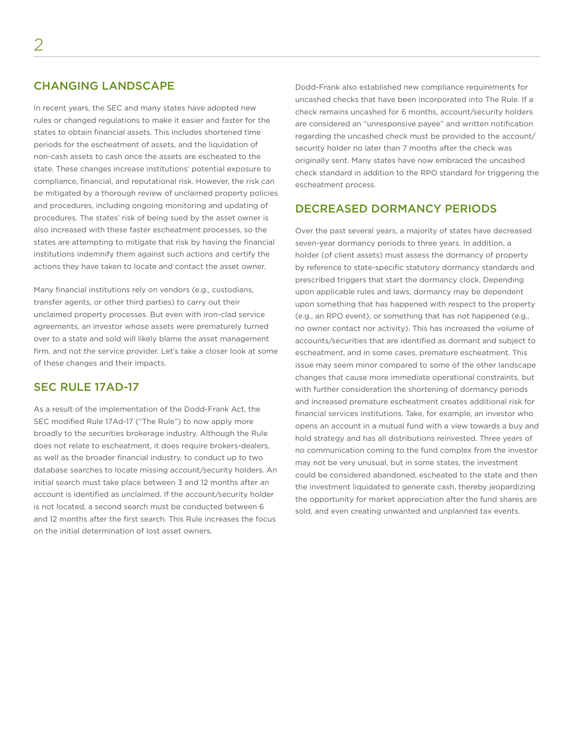#### CHANGING LANDSCAPE

In recent years, the SEC and many states have adopted new rules or changed regulations to make it easier and faster for the states to obtain financial assets. This includes shortened time periods for the escheatment of assets, and the liquidation of non-cash assets to cash once the assets are escheated to the state. These changes increase institutions' potential exposure to compliance, financial, and reputational risk. However, the risk can be mitigated by a thorough review of unclaimed property policies and procedures, including ongoing monitoring and updating of procedures. The states' risk of being sued by the asset owner is also increased with these faster escheatment processes, so the states are attempting to mitigate that risk by having the financial institutions indemnify them against such actions and certify the actions they have taken to locate and contact the asset owner.

Many financial institutions rely on vendors (e.g., custodians, transfer agents, or other third parties) to carry out their unclaimed property processes. But even with iron-clad service agreements, an investor whose assets were prematurely turned over to a state and sold will likely blame the asset management firm, and not the service provider. Let's take a closer look at some of these changes and their impacts.

#### SEC RULE 17AD-17

As a result of the implementation of the Dodd-Frank Act, the SEC modified Rule 17Ad-17 ("The Rule") to now apply more broadly to the securities brokerage industry. Although the Rule does not relate to escheatment, it does require brokers-dealers, as well as the broader financial industry, to conduct up to two database searches to locate missing account/security holders. An initial search must take place between 3 and 12 months after an account is identified as unclaimed. If the account/security holder is not located, a second search must be conducted between 6 and 12 months after the first search. This Rule increases the focus on the initial determination of lost asset owners.

Dodd-Frank also established new compliance requirements for uncashed checks that have been incorporated into The Rule. If a check remains uncashed for 6 months, account/security holders are considered an "unresponsive payee" and written notification regarding the uncashed check must be provided to the account/ security holder no later than 7 months after the check was originally sent. Many states have now embraced the uncashed check standard in addition to the RPO standard for triggering the escheatment process.

## DECREASED DORMANCY PERIODS

Over the past several years, a majority of states have decreased seven-year dormancy periods to three years. In addition, a holder (of client assets) must assess the dormancy of property by reference to state-specific statutory dormancy standards and prescribed triggers that start the dormancy clock. Depending upon applicable rules and laws, dormancy may be dependent upon something that has happened with respect to the property (e.g., an RPO event), or something that has not happened (e.g., no owner contact nor activity). This has increased the volume of accounts/securities that are identified as dormant and subject to escheatment, and in some cases, premature escheatment. This issue may seem minor compared to some of the other landscape changes that cause more immediate operational constraints, but with further consideration the shortening of dormancy periods and increased premature escheatment creates additional risk for financial services institutions. Take, for example, an investor who opens an account in a mutual fund with a view towards a buy and hold strategy and has all distributions reinvested. Three years of no communication coming to the fund complex from the investor may not be very unusual, but in some states, the investment could be considered abandoned, escheated to the state and then the investment liquidated to generate cash, thereby jeopardizing the opportunity for market appreciation after the fund shares are sold, and even creating unwanted and unplanned tax events.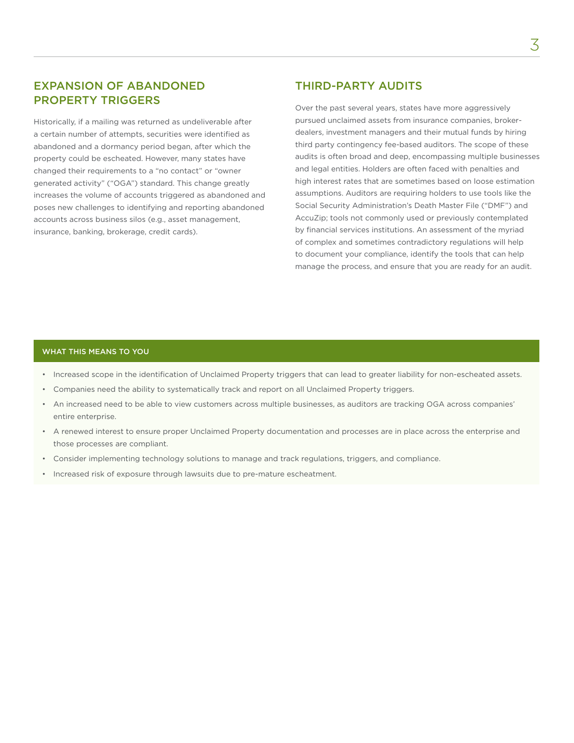# EXPANSION OF ABANDONED PROPERTY TRIGGERS

Historically, if a mailing was returned as undeliverable after a certain number of attempts, securities were identified as abandoned and a dormancy period began, after which the property could be escheated. However, many states have changed their requirements to a "no contact" or "owner generated activity" ("OGA") standard. This change greatly increases the volume of accounts triggered as abandoned and poses new challenges to identifying and reporting abandoned accounts across business silos (e.g., asset management, insurance, banking, brokerage, credit cards).

#### THIRD-PARTY AUDITS

Over the past several years, states have more aggressively pursued unclaimed assets from insurance companies, brokerdealers, investment managers and their mutual funds by hiring third party contingency fee-based auditors. The scope of these audits is often broad and deep, encompassing multiple businesses and legal entities. Holders are often faced with penalties and high interest rates that are sometimes based on loose estimation assumptions. Auditors are requiring holders to use tools like the Social Security Administration's Death Master File ("DMF") and AccuZip; tools not commonly used or previously contemplated by financial services institutions. An assessment of the myriad of complex and sometimes contradictory regulations will help to document your compliance, identify the tools that can help manage the process, and ensure that you are ready for an audit.

#### WHAT THIS MEANS TO YOU

- Increased scope in the identification of Unclaimed Property triggers that can lead to greater liability for non-escheated assets.
- Companies need the ability to systematically track and report on all Unclaimed Property triggers.
- An increased need to be able to view customers across multiple businesses, as auditors are tracking OGA across companies' entire enterprise.
- A renewed interest to ensure proper Unclaimed Property documentation and processes are in place across the enterprise and those processes are compliant.
- Consider implementing technology solutions to manage and track regulations, triggers, and compliance.
- Increased risk of exposure through lawsuits due to pre-mature escheatment.